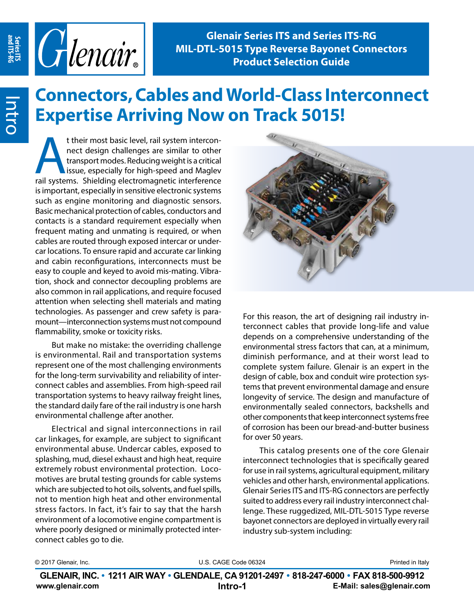

# **Connectors, Cables and World-Class Interconnect Expertise Arriving Now on Track 5015!**

t their most basic level, rail system intercon-<br>
nect design challenges are similar to other<br>
transport modes. Reducing weight is a critical<br>
issue, especially for high-speed and Maglev<br>
rail systems. Shielding electromagn nect design challenges are similar to other transport modes. Reducing weight is a critical issue, especially for high-speed and Maglev is important, especially in sensitive electronic systems such as engine monitoring and diagnostic sensors. Basic mechanical protection of cables, conductors and contacts is a standard requirement especially when frequent mating and unmating is required, or when cables are routed through exposed intercar or undercar locations. To ensure rapid and accurate car linking and cabin reconfigurations, interconnects must be easy to couple and keyed to avoid mis-mating. Vibration, shock and connector decoupling problems are also common in rail applications, and require focused attention when selecting shell materials and mating technologies. As passenger and crew safety is paramount—interconnection systems must not compound flammability, smoke or toxicity risks.

But make no mistake: the overriding challenge is environmental. Rail and transportation systems represent one of the most challenging environments for the long-term survivability and reliability of interconnect cables and assemblies. From high-speed rail transportation systems to heavy railway freight lines, the standard daily fare of the rail industry is one harsh environmental challenge after another.

Electrical and signal interconnections in rail car linkages, for example, are subject to significant environmental abuse. Undercar cables, exposed to splashing, mud, diesel exhaust and high heat, require extremely robust environmental protection. Locomotives are brutal testing grounds for cable systems which are subjected to hot oils, solvents, and fuel spills, not to mention high heat and other environmental stress factors. In fact, it's fair to say that the harsh environment of a locomotive engine compartment is where poorly designed or minimally protected interconnect cables go to die.



For this reason, the art of designing rail industry interconnect cables that provide long-life and value depends on a comprehensive understanding of the environmental stress factors that can, at a minimum, diminish performance, and at their worst lead to complete system failure. Glenair is an expert in the design of cable, box and conduit wire protection systems that prevent environmental damage and ensure longevity of service. The design and manufacture of environmentally sealed connectors, backshells and other components that keep interconnect systems free of corrosion has been our bread-and-butter business for over 50 years.

This catalog presents one of the core Glenair interconnect technologies that is specifically geared for use in rail systems, agricultural equipment, military vehicles and other harsh, environmental applications. Glenair Series ITS and ITS-RG connectors are perfectly suited to address every rail industry interconnect challenge. These ruggedized, MIL-DTL-5015 Type reverse bayonet connectors are deployed in virtually every rail industry sub-system including:

| © 2017 Glenair, Inc. |  |
|----------------------|--|
|----------------------|--|

© 2017 Glenair, Inc. **Example 2018** U.S. CAGE Code 06324 **Printed in Italy** Printed in Italy

**www.glenair.com E-Mail: sales@glenair.com Intro-1 Intro-2 GLENAIR, INC. • 1211 AIR WAY • GLENDALE, CA 91201-2497 • 818-247-6000 • FAX 818-500-9912**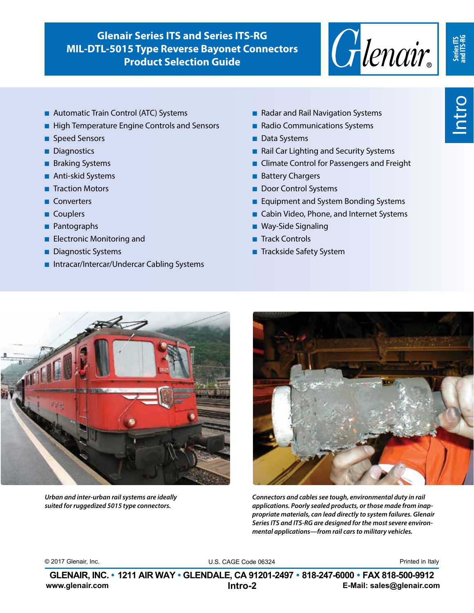

**Series ITS and ITS-RG**

- Automatic Train Control (ATC) Systems
- High Temperature Engine Controls and Sensors
- Speed Sensors
- Diagnostics
- Braking Systems
- Anti-skid Systems
- Traction Motors
- Converters
- Couplers
- Pantographs
- Electronic Monitoring and
- Diagnostic Systems
- Intracar/Intercar/Undercar Cabling Systems
- Radar and Rail Navigation Systems
- Radio Communications Systems
- Data Systems
- Rail Car Lighting and Security Systems
- Climate Control for Passengers and Freight
- Battery Chargers
- Door Control Systems
- Equipment and System Bonding Systems
- Cabin Video, Phone, and Internet Systems
- Way-Side Signaling
- Track Controls
- Trackside Safety System



*Urban and inter-urban rail systems are ideally suited for ruggedized 5015 type connectors.*



*Connectors and cables see tough, environmental duty in rail applications. Poorly sealed products, or those made from inappropriate materials, can lead directly to system failures. Glenair Series ITS and ITS-RG are designed for the most severe environmental applications—from rail cars to military vehicles.*

© 2017 Glenair, Inc. etc. And the Code Code Code Code 06324 Code 06324 Printed in Italy

**www.glenair.com E-Mail: sales@glenair.com GLENAIR, INC. • 1211 AIR WAY • GLENDALE, CA 91201-2497 • 818-247-6000 • FAX 818-500-9912 Intro-2 Intro-2**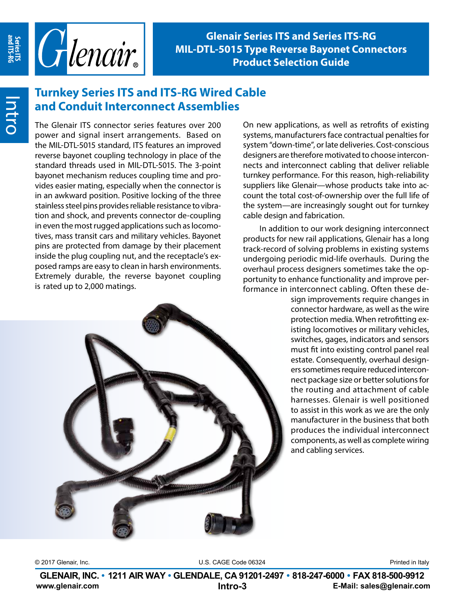

## **Turnkey Series ITS and ITS-RG Wired Cable and Conduit Interconnect Assemblies**

The Glenair ITS connector series features over 200 power and signal insert arrangements. Based on the MIL-DTL-5015 standard, ITS features an improved reverse bayonet coupling technology in place of the standard threads used in MIL-DTL-5015. The 3-point bayonet mechanism reduces coupling time and provides easier mating, especially when the connector is in an awkward position. Positive locking of the three stainless steel pins provides reliable resistance to vibration and shock, and prevents connector de-coupling in even the most rugged applications such as locomotives, mass transit cars and military vehicles. Bayonet pins are protected from damage by their placement inside the plug coupling nut, and the receptacle's exposed ramps are easy to clean in harsh environments. Extremely durable, the reverse bayonet coupling is rated up to 2,000 matings.

On new applications, as well as retrofits of existing systems, manufacturers face contractual penalties for system "down-time", or late deliveries. Cost-conscious designers are therefore motivated to choose interconnects and interconnect cabling that deliver reliable turnkey performance. For this reason, high-reliability suppliers like Glenair—whose products take into account the total cost-of-ownership over the full life of the system—are increasingly sought out for turnkey cable design and fabrication.

In addition to our work designing interconnect products for new rail applications, Glenair has a long track-record of solving problems in existing systems undergoing periodic mid-life overhauls. During the overhaul process designers sometimes take the opportunity to enhance functionality and improve performance in interconnect cabling. Often these de-

sign improvements require changes in connector hardware, as well as the wire protection media. When retrofitting existing locomotives or military vehicles, switches, gages, indicators and sensors must fit into existing control panel real estate. Consequently, overhaul designers sometimes require reduced interconnect package size or better solutions for the routing and attachment of cable harnesses. Glenair is well positioned to assist in this work as we are the only manufacturer in the business that both produces the individual interconnect components, as well as complete wiring and cabling services.



© 2017 Glenair, Inc. **Example 2018** U.S. CAGE Code 06324 **Printed in Italy** Printed in Italy